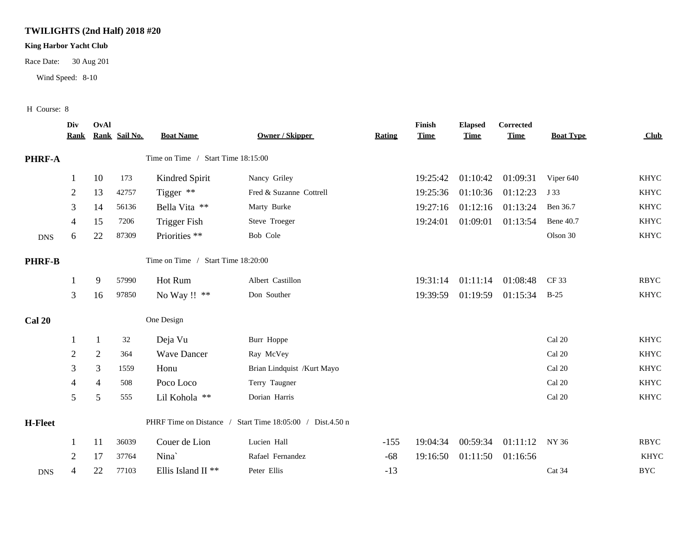## **TWILIGHTS (2nd Half) 2018 #20**

## **King Harbor Yacht Club**

Race Date: 30 Aug 201

Wind Speed: 8-10

## H Course: 8

|               | Div<br><u>Rank</u> | OvAl           | Rank Sail No. | <b>Boat Name</b>                   | <b>Owner / Skipper</b>                                    | <b>Rating</b> | Finish<br><b>Time</b> | <b>Elapsed</b><br><b>Time</b> | Corrected<br><b>Time</b> | <b>Boat Type</b> | <b>Club</b> |
|---------------|--------------------|----------------|---------------|------------------------------------|-----------------------------------------------------------|---------------|-----------------------|-------------------------------|--------------------------|------------------|-------------|
| PHRF-A        |                    |                |               | Time on Time / Start Time 18:15:00 |                                                           |               |                       |                               |                          |                  |             |
|               |                    | 10             | 173           | Kindred Spirit                     | Nancy Griley                                              |               | 19:25:42              | 01:10:42                      | 01:09:31                 | Viper 640        | <b>KHYC</b> |
|               | $\overline{2}$     | 13             | 42757         | Tigger $**$                        | Fred & Suzanne Cottrell                                   |               | 19:25:36              | 01:10:36                      | 01:12:23                 | J 33             | <b>KHYC</b> |
|               | 3                  | 14             | 56136         | Bella Vita **                      | Marty Burke                                               |               | 19:27:16              | 01:12:16                      | 01:13:24                 | Ben 36.7         | <b>KHYC</b> |
|               | 4                  | 15             | 7206          | <b>Trigger Fish</b>                | Steve Troeger                                             |               | 19:24:01              | 01:09:01                      | 01:13:54                 | <b>Bene 40.7</b> | <b>KHYC</b> |
| <b>DNS</b>    | 6                  | 22             | 87309         | Priorities **                      | Bob Cole                                                  |               |                       |                               |                          | Olson 30         | <b>KHYC</b> |
| <b>PHRF-B</b> |                    |                |               | Time on Time / Start Time 18:20:00 |                                                           |               |                       |                               |                          |                  |             |
|               |                    | 9              | 57990         | Hot Rum                            | Albert Castillon                                          |               | 19:31:14              | 01:11:14                      | 01:08:48                 | CF 33            | <b>RBYC</b> |
|               | 3                  | 16             | 97850         | No Way !! **                       | Don Souther                                               |               | 19:39:59              | 01:19:59                      | 01:15:34                 | $B-25$           | <b>KHYC</b> |
| <b>Cal 20</b> |                    |                |               | One Design                         |                                                           |               |                       |                               |                          |                  |             |
|               |                    | -1             | 32            | Deja Vu                            | Burr Hoppe                                                |               |                       |                               |                          | Cal 20           | <b>KHYC</b> |
|               | 2                  | $\overline{2}$ | 364           | <b>Wave Dancer</b>                 | Ray McVey                                                 |               |                       |                               |                          | Cal 20           | <b>KHYC</b> |
|               | 3                  | 3              | 1559          | Honu                               | Brian Lindquist /Kurt Mayo                                |               |                       |                               |                          | Cal 20           | <b>KHYC</b> |
|               | 4                  | 4              | 508           | Poco Loco                          | Terry Taugner                                             |               |                       |                               |                          | Cal 20           | <b>KHYC</b> |
|               | 5                  | 5              | 555           | Lil Kohola **                      | Dorian Harris                                             |               |                       |                               |                          | Cal 20           | <b>KHYC</b> |
| H-Fleet       |                    |                |               |                                    | PHRF Time on Distance / Start Time 18:05:00 / Dist.4.50 n |               |                       |                               |                          |                  |             |
|               | -1                 | 11             | 36039         | Couer de Lion                      | Lucien Hall                                               | $-155$        | 19:04:34              | 00:59:34                      | 01:11:12                 | NY 36            | <b>RBYC</b> |
|               | 2                  | 17             | 37764         | Nina                               | Rafael Fernandez                                          | $-68$         | 19:16:50              | 01:11:50                      | 01:16:56                 |                  | <b>KHYC</b> |
| <b>DNS</b>    | 4                  | 22             | 77103         | Ellis Island II <sup>**</sup>      | Peter Ellis                                               | $-13$         |                       |                               |                          | Cat 34           | <b>BYC</b>  |